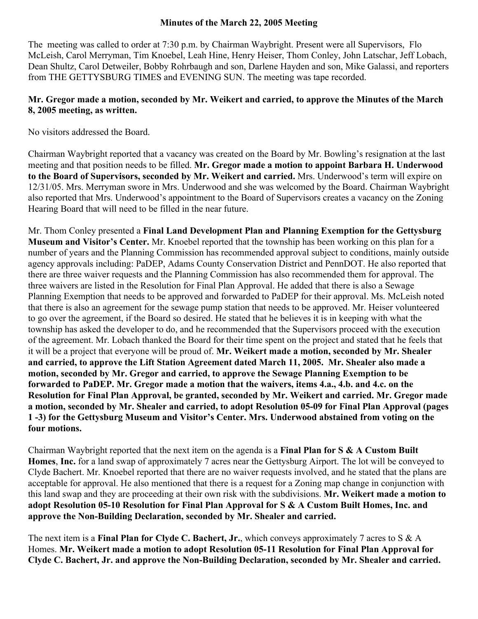#### **Minutes of the March 22, 2005 Meeting**

The meeting was called to order at 7:30 p.m. by Chairman Waybright. Present were all Supervisors, Flo McLeish, Carol Merryman, Tim Knoebel, Leah Hine, Henry Heiser, Thom Conley, John Latschar, Jeff Lobach, Dean Shultz, Carol Detweiler, Bobby Rohrbaugh and son, Darlene Hayden and son, Mike Galassi, and reporters from THE GETTYSBURG TIMES and EVENING SUN. The meeting was tape recorded.

# **Mr. Gregor made a motion, seconded by Mr. Weikert and carried, to approve the Minutes of the March 8, 2005 meeting, as written.**

No visitors addressed the Board.

Chairman Waybright reported that a vacancy was created on the Board by Mr. Bowling's resignation at the last meeting and that position needs to be filled. **Mr. Gregor made a motion to appoint Barbara H. Underwood to the Board of Supervisors, seconded by Mr. Weikert and carried.** Mrs. Underwood's term will expire on 12/31/05. Mrs. Merryman swore in Mrs. Underwood and she was welcomed by the Board. Chairman Waybright also reported that Mrs. Underwood's appointment to the Board of Supervisors creates a vacancy on the Zoning Hearing Board that will need to be filled in the near future.

Mr. Thom Conley presented a **Final Land Development Plan and Planning Exemption for the Gettysburg Museum and Visitor's Center.** Mr. Knoebel reported that the township has been working on this plan for a number of years and the Planning Commission has recommended approval subject to conditions, mainly outside agency approvals including: PaDEP, Adams County Conservation District and PennDOT. He also reported that there are three waiver requests and the Planning Commission has also recommended them for approval. The three waivers are listed in the Resolution for Final Plan Approval. He added that there is also a Sewage Planning Exemption that needs to be approved and forwarded to PaDEP for their approval. Ms. McLeish noted that there is also an agreement for the sewage pump station that needs to be approved. Mr. Heiser volunteered to go over the agreement, if the Board so desired. He stated that he believes it is in keeping with what the township has asked the developer to do, and he recommended that the Supervisors proceed with the execution of the agreement. Mr. Lobach thanked the Board for their time spent on the project and stated that he feels that it will be a project that everyone will be proud of. **Mr. Weikert made a motion, seconded by Mr. Shealer and carried, to approve the Lift Station Agreement dated March 11, 2005. Mr. Shealer also made a motion, seconded by Mr. Gregor and carried, to approve the Sewage Planning Exemption to be forwarded to PaDEP. Mr. Gregor made a motion that the waivers, items 4.a., 4.b. and 4.c. on the Resolution for Final Plan Approval, be granted, seconded by Mr. Weikert and carried. Mr. Gregor made a motion, seconded by Mr. Shealer and carried, to adopt Resolution 05-09 for Final Plan Approval (pages 1 -3) for the Gettysburg Museum and Visitor's Center. Mrs. Underwood abstained from voting on the four motions.**

Chairman Waybright reported that the next item on the agenda is a **Final Plan for S & A Custom Built Homes**, **Inc.** for a land swap of approximately 7 acres near the Gettysburg Airport. The lot will be conveyed to Clyde Bachert. Mr. Knoebel reported that there are no waiver requests involved, and he stated that the plans are acceptable for approval. He also mentioned that there is a request for a Zoning map change in conjunction with this land swap and they are proceeding at their own risk with the subdivisions. **Mr. Weikert made a motion to adopt Resolution 05-10 Resolution for Final Plan Approval for S & A Custom Built Homes, Inc. and approve the Non-Building Declaration, seconded by Mr. Shealer and carried.**

The next item is a **Final Plan for Clyde C. Bachert, Jr.**, which conveys approximately 7 acres to S & A Homes. **Mr. Weikert made a motion to adopt Resolution 05-11 Resolution for Final Plan Approval for Clyde C. Bachert, Jr. and approve the Non-Building Declaration, seconded by Mr. Shealer and carried.**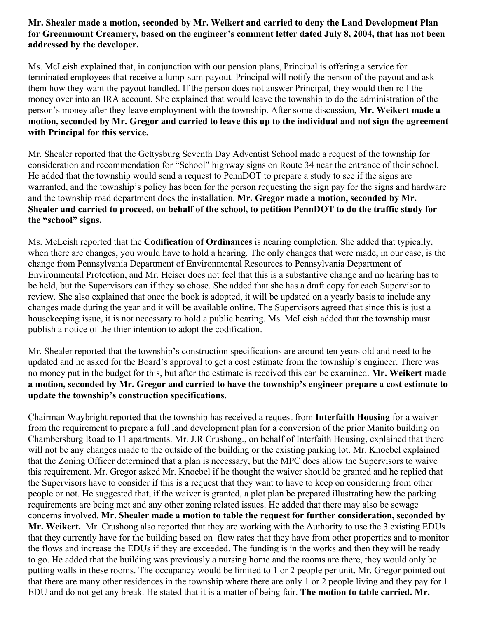# **Mr. Shealer made a motion, seconded by Mr. Weikert and carried to deny the Land Development Plan for Greenmount Creamery, based on the engineer's comment letter dated July 8, 2004, that has not been addressed by the developer.**

Ms. McLeish explained that, in conjunction with our pension plans, Principal is offering a service for terminated employees that receive a lump-sum payout. Principal will notify the person of the payout and ask them how they want the payout handled. If the person does not answer Principal, they would then roll the money over into an IRA account. She explained that would leave the township to do the administration of the person's money after they leave employment with the township. After some discussion, **Mr. Weikert made a motion, seconded by Mr. Gregor and carried to leave this up to the individual and not sign the agreement with Principal for this service.** 

Mr. Shealer reported that the Gettysburg Seventh Day Adventist School made a request of the township for consideration and recommendation for "School" highway signs on Route 34 near the entrance of their school. He added that the township would send a request to PennDOT to prepare a study to see if the signs are warranted, and the township's policy has been for the person requesting the sign pay for the signs and hardware and the township road department does the installation. **Mr. Gregor made a motion, seconded by Mr. Shealer and carried to proceed, on behalf of the school, to petition PennDOT to do the traffic study for the "school" signs.**

Ms. McLeish reported that the **Codification of Ordinances** is nearing completion. She added that typically, when there are changes, you would have to hold a hearing. The only changes that were made, in our case, is the change from Pennsylvania Department of Environmental Resources to Pennsylvania Department of Environmental Protection, and Mr. Heiser does not feel that this is a substantive change and no hearing has to be held, but the Supervisors can if they so chose. She added that she has a draft copy for each Supervisor to review. She also explained that once the book is adopted, it will be updated on a yearly basis to include any changes made during the year and it will be available online. The Supervisors agreed that since this is just a housekeeping issue, it is not necessary to hold a public hearing. Ms. McLeish added that the township must publish a notice of the thier intention to adopt the codification.

Mr. Shealer reported that the township's construction specifications are around ten years old and need to be updated and he asked for the Board's approval to get a cost estimate from the township's engineer. There was no money put in the budget for this, but after the estimate is received this can be examined. **Mr. Weikert made a motion, seconded by Mr. Gregor and carried to have the township's engineer prepare a cost estimate to update the township's construction specifications.**

Chairman Waybright reported that the township has received a request from **Interfaith Housing** for a waiver from the requirement to prepare a full land development plan for a conversion of the prior Manito building on Chambersburg Road to 11 apartments. Mr. J.R Crushong., on behalf of Interfaith Housing, explained that there will not be any changes made to the outside of the building or the existing parking lot. Mr. Knoebel explained that the Zoning Officer determined that a plan is necessary, but the MPC does allow the Supervisors to waive this requirement. Mr. Gregor asked Mr. Knoebel if he thought the waiver should be granted and he replied that the Supervisors have to consider if this is a request that they want to have to keep on considering from other people or not. He suggested that, if the waiver is granted, a plot plan be prepared illustrating how the parking requirements are being met and any other zoning related issues. He added that there may also be sewage concerns involved. **Mr. Shealer made a motion to table the request for further consideration, seconded by Mr. Weikert.** Mr. Crushong also reported that they are working with the Authority to use the 3 existing EDUs that they currently have for the building based on flow rates that they have from other properties and to monitor the flows and increase the EDUs if they are exceeded. The funding is in the works and then they will be ready to go. He added that the building was previously a nursing home and the rooms are there, they would only be putting walls in these rooms. The occupancy would be limited to 1 or 2 people per unit. Mr. Gregor pointed out that there are many other residences in the township where there are only 1 or 2 people living and they pay for 1 EDU and do not get any break. He stated that it is a matter of being fair. **The motion to table carried. Mr.**